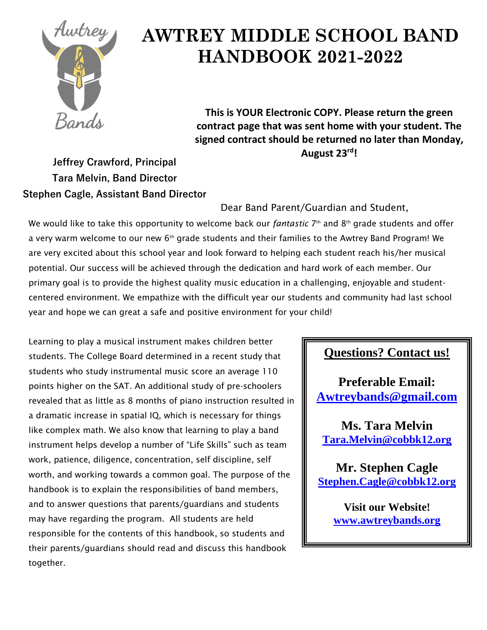

# **AWTREY MIDDLE SCHOOL BAND HANDBOOK 2021-2022**

**This is YOUR Electronic COPY. Please return the green contract page that was sent home with your student. The signed contract should be returned no later than Monday, August 23rd!**

**Jeffrey Crawford, Principal Tara Melvin, Band Director Stephen Cagle, Assistant Band Director**

Dear Band Parent/Guardian and Student,

We would like to take this opportunity to welcome back our *fantastic* 7 th and 8th grade students and offer a very warm welcome to our new 6<sup>th</sup> grade students and their families to the Awtrey Band Program! We are very excited about this school year and look forward to helping each student reach his/her musical potential. Our success will be achieved through the dedication and hard work of each member. Our primary goal is to provide the highest quality music education in a challenging, enjoyable and studentcentered environment. We empathize with the difficult year our students and community had last school year and hope we can great a safe and positive environment for your child!

Learning to play a musical instrument makes children better students. The College Board determined in a recent study that students who study instrumental music score an average 110 points higher on the SAT. An additional study of pre-schoolers revealed that as little as 8 months of piano instruction resulted in a dramatic increase in spatial IQ, which is necessary for things like complex math. We also know that learning to play a band instrument helps develop a number of "Life Skills" such as team work, patience, diligence, concentration, self discipline, self worth, and working towards a common goal. The purpose of the handbook is to explain the responsibilities of band members, and to answer questions that parents/guardians and students may have regarding the program. All students are held responsible for the contents of this handbook, so students and their parents/guardians should read and discuss this handbook together.

### **Questions? Contact us!**

**Preferable Email: [Awtreybands@gmail.com](mailto:Awtreybands@gmail.com)**

**Ms. Tara Melvin [Tara.Melvin@cobbk12.org](mailto:Tara.Melvin@cobbk12.org)**

**Mr. Stephen Cagle [Stephen.Cagle@cobbk12.org](mailto:Stephen.Cagle@cobbk12.org)**

> **Visit our Website! www.awtreybands.org**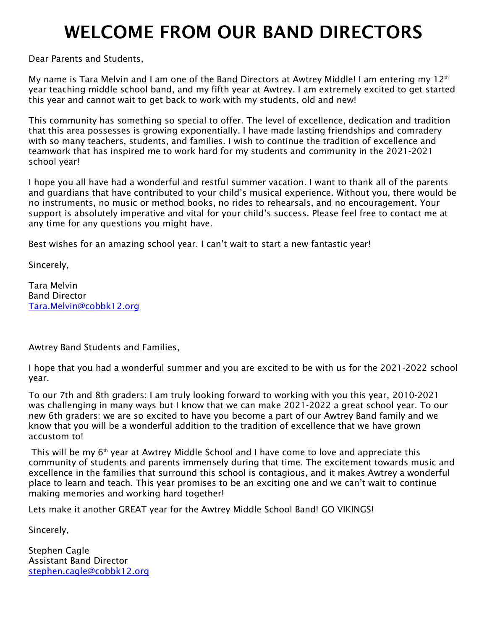# WELCOME FROM OUR BAND DIRECTORS

Dear Parents and Students,

My name is Tara Melvin and I am one of the Band Directors at Awtrey Middle! I am entering my 12th year teaching middle school band, and my fifth year at Awtrey. I am extremely excited to get started this year and cannot wait to get back to work with my students, old and new!

This community has something so special to offer. The level of excellence, dedication and tradition that this area possesses is growing exponentially. I have made lasting friendships and comradery with so many teachers, students, and families. I wish to continue the tradition of excellence and teamwork that has inspired me to work hard for my students and community in the 2021-2021 school year!

I hope you all have had a wonderful and restful summer vacation. I want to thank all of the parents and guardians that have contributed to your child's musical experience. Without you, there would be no instruments, no music or method books, no rides to rehearsals, and no encouragement. Your support is absolutely imperative and vital for your child's success. Please feel free to contact me at any time for any questions you might have.

Best wishes for an amazing school year. I can't wait to start a new fantastic year!

Sincerely,

Tara Melvin Band Director [Tara.Melvin@cobbk12.org](mailto:Tara.Melvin@cobbk12.org)

Awtrey Band Students and Families,

I hope that you had a wonderful summer and you are excited to be with us for the 2021-2022 school year.

To our 7th and 8th graders: I am truly looking forward to working with you this year, 2010-2021 was challenging in many ways but I know that we can make 2021-2022 a great school year. To our new 6th graders: we are so excited to have you become a part of our Awtrey Band family and we know that you will be a wonderful addition to the tradition of excellence that we have grown accustom to!

This will be my  $6<sup>th</sup>$  year at Awtrey Middle School and I have come to love and appreciate this community of students and parents immensely during that time. The excitement towards music and excellence in the families that surround this school is contagious, and it makes Awtrey a wonderful place to learn and teach. This year promises to be an exciting one and we can't wait to continue making memories and working hard together!

Lets make it another GREAT year for the Awtrey Middle School Band! GO VIKINGS!

Sincerely,

Stephen Cagle Assistant Band Director [stephen.cagle@cobbk12.org](mailto:stephen.cagle@cobbk12.org)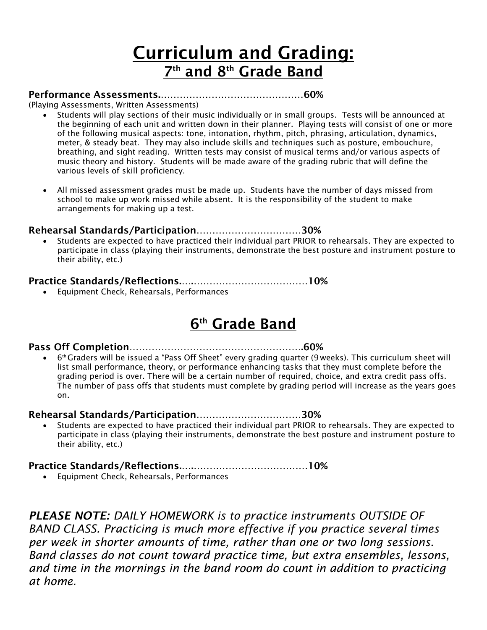# Curriculum and Grading: 7<sup>th</sup> and 8<sup>th</sup> Grade Band

#### Performance Assessments.………………………………………60%

(Playing Assessments, Written Assessments)

- Students will play sections of their music individually or in small groups. Tests will be announced at the beginning of each unit and written down in their planner. Playing tests will consist of one or more of the following musical aspects: tone, intonation, rhythm, pitch, phrasing, articulation, dynamics, meter, & steady beat. They may also include skills and techniques such as posture, embouchure, breathing, and sight reading. Written tests may consist of musical terms and/or various aspects of music theory and history. Students will be made aware of the grading rubric that will define the various levels of skill proficiency.
- All missed assessment grades must be made up. Students have the number of days missed from school to make up work missed while absent. It is the responsibility of the student to make arrangements for making up a test.

#### Rehearsal Standards/Participation……………………………30%

• Students are expected to have practiced their individual part PRIOR to rehearsals. They are expected to participate in class (playing their instruments, demonstrate the best posture and instrument posture to their ability, etc.)

#### Practice Standards/Reflections.….………………………………10%

• Equipment Check, Rehearsals, Performances

# <u>6th Grade Band</u>

#### Pass Off Completion……………………………………………….60%

• 6 th Graders will be issued a "Pass Off Sheet" every grading quarter (9 weeks). This curriculum sheet will list small performance, theory, or performance enhancing tasks that they must complete before the grading period is over. There will be a certain number of required, choice, and extra credit pass offs. The number of pass offs that students must complete by grading period will increase as the years goes on.

#### Rehearsal Standards/Participation……………………………30%

• Students are expected to have practiced their individual part PRIOR to rehearsals. They are expected to participate in class (playing their instruments, demonstrate the best posture and instrument posture to their ability, etc.)

#### Practice Standards/Reflections.….………………………………10%

• Equipment Check, Rehearsals, Performances

*PLEASE NOTE: DAILY HOMEWORK is to practice instruments OUTSIDE OF BAND CLASS. Practicing is much more effective if you practice several times per week in shorter amounts of time, rather than one or two long sessions. Band classes do not count toward practice time, but extra ensembles, lessons, and time in the mornings in the band room do count in addition to practicing at home.*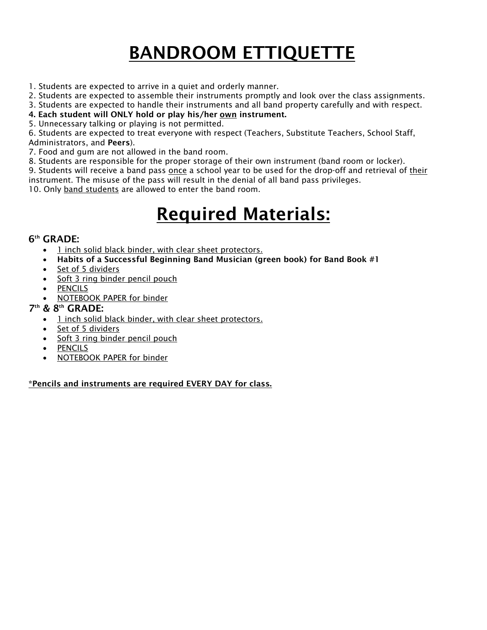# BANDROOM ETTIQUETTE

- 1. Students are expected to arrive in a quiet and orderly manner.
- 2. Students are expected to assemble their instruments promptly and look over the class assignments.
- 3. Students are expected to handle their instruments and all band property carefully and with respect.
- 4. Each student will ONLY hold or play his/her own instrument.
- 5. Unnecessary talking or playing is not permitted.

6. Students are expected to treat everyone with respect (Teachers, Substitute Teachers, School Staff, Administrators, and Peers).

- 7. Food and gum are not allowed in the band room.
- 8. Students are responsible for the proper storage of their own instrument (band room or locker).

9. Students will receive a band pass once a school year to be used for the drop-off and retrieval of their instrument. The misuse of the pass will result in the denial of all band pass privileges.

10. Only band students are allowed to enter the band room.

# Required Materials:

#### 6 th GRADE:

- 1 inch solid black binder, with clear sheet protectors.
- Habits of a Successful Beginning Band Musician (green book) for Band Book #1
- Set of 5 dividers
- Soft 3 ring binder pencil pouch
- **PENCILS**
- NOTEBOOK PAPER for binder

#### 7 th & 8th GRADE:

- 1 inch solid black binder, with clear sheet protectors.
- Set of 5 dividers
- Soft 3 ring binder pencil pouch
- **PENCILS**
- NOTEBOOK PAPER for binder

\*Pencils and instruments are required EVERY DAY for class.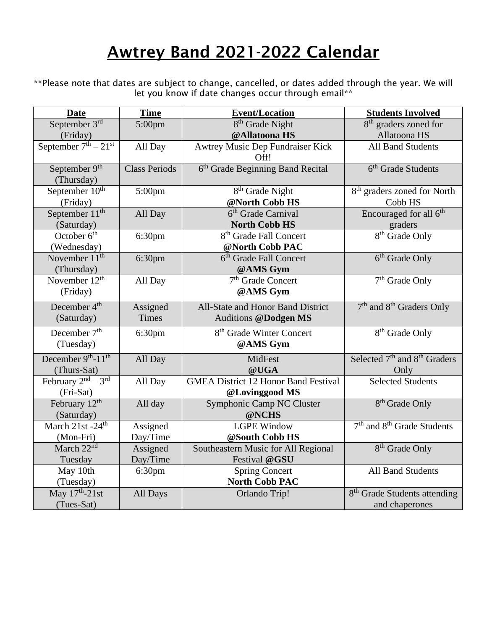# Awtrey Band 2021-2022 Calendar

\*\*Please note that dates are subject to change, cancelled, or dates added through the year. We will let you know if date changes occur through email\*\*

| <b>Date</b>                   | <b>Time</b>          | <b>Event/Location</b>                        | <b>Students Involved</b>                             |
|-------------------------------|----------------------|----------------------------------------------|------------------------------------------------------|
| September 3rd                 | 5:00pm               | 8 <sup>th</sup> Grade Night                  | 8 <sup>th</sup> graders zoned for                    |
| (Friday)                      |                      | @Allatoona HS                                | Allatoona HS                                         |
| September $7th - 21st$        | All Day              | Awtrey Music Dep Fundraiser Kick             | <b>All Band Students</b>                             |
|                               |                      | Off!                                         |                                                      |
| September 9 <sup>th</sup>     | <b>Class Periods</b> | 6 <sup>th</sup> Grade Beginning Band Recital | 6 <sup>th</sup> Grade Students                       |
| (Thursday)                    |                      |                                              |                                                      |
| September 10 <sup>th</sup>    | $5:00$ pm            | 8 <sup>th</sup> Grade Night                  | 8 <sup>th</sup> graders zoned for North              |
| (Friday)                      |                      | @North Cobb HS                               | Cobb HS                                              |
| September $11th$              | All Day              | 6 <sup>th</sup> Grade Carnival               | Encouraged for all 6 <sup>th</sup>                   |
| (Saturday)                    |                      | <b>North Cobb HS</b>                         | graders                                              |
| October 6 <sup>th</sup>       | 6:30pm               | 8 <sup>th</sup> Grade Fall Concert           | $8th$ Grade Only                                     |
| (Wednesday)                   |                      | @North Cobb PAC                              |                                                      |
| November $11^{th}$            | 6:30pm               | 6 <sup>th</sup> Grade Fall Concert           | $6th$ Grade Only                                     |
| (Thursday)                    |                      | @AMS Gym                                     |                                                      |
| November $12th$               | All Day              | 7 <sup>th</sup> Grade Concert                | $7th$ Grade Only                                     |
| (Friday)                      |                      | @AMS Gym                                     |                                                      |
| December 4 <sup>th</sup>      | Assigned             | All-State and Honor Band District            | 7 <sup>th</sup> and 8 <sup>th</sup> Graders Only     |
| (Saturday)                    | Times                | <b>Auditions @Dodgen MS</b>                  |                                                      |
| December 7 <sup>th</sup>      | 6:30pm               | 8 <sup>th</sup> Grade Winter Concert         | 8 <sup>th</sup> Grade Only                           |
| (Tuesday)                     |                      | @AMS Gym                                     |                                                      |
| December 9th-11 <sup>th</sup> | All Day              | MidFest                                      | Selected 7 <sup>th</sup> and 8 <sup>th</sup> Graders |
| (Thurs-Sat)                   |                      | @UGA                                         | Only                                                 |
| February $2^{nd} - 3^{rd}$    | All Day              | <b>GMEA District 12 Honor Band Festival</b>  | <b>Selected Students</b>                             |
| (Fri-Sat)                     |                      | @Lovinggood MS                               |                                                      |
| February 12 <sup>th</sup>     | All day              | Symphonic Camp NC Cluster                    | 8 <sup>th</sup> Grade Only                           |
| (Saturday)                    |                      | @NCHS                                        |                                                      |
| March 21st -24 <sup>th</sup>  | Assigned             | <b>LGPE Window</b>                           | 7 <sup>th</sup> and 8 <sup>th</sup> Grade Students   |
| (Mon-Fri)                     | Day/Time             | @South Cobb HS                               |                                                      |
| March 22 <sup>nd</sup>        | Assigned             | Southeastern Music for All Regional          | 8 <sup>th</sup> Grade Only                           |
| Tuesday                       | Day/Time             | Festival @GSU                                |                                                      |
| May 10th                      | 6:30 <sub>pm</sub>   | <b>Spring Concert</b>                        | <b>All Band Students</b>                             |
| (Tuesday)                     |                      | <b>North Cobb PAC</b>                        |                                                      |
| May 17th-21st                 | All Days             | Orlando Trip!                                | 8 <sup>th</sup> Grade Students attending             |
| (Tues-Sat)                    |                      |                                              | and chaperones                                       |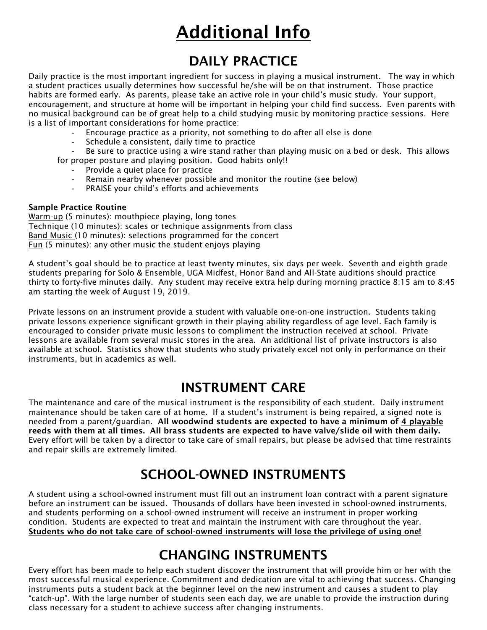# Additional Info

## DAILY PRACTICE

Daily practice is the most important ingredient for success in playing a musical instrument. The way in which a student practices usually determines how successful he/she will be on that instrument. Those practice habits are formed early. As parents, please take an active role in your child's music study. Your support, encouragement, and structure at home will be important in helping your child find success. Even parents with no musical background can be of great help to a child studying music by monitoring practice sessions. Here is a list of important considerations for home practice:

- Encourage practice as a priority, not something to do after all else is done
- Schedule a consistent, daily time to practice

Be sure to practice using a wire stand rather than playing music on a bed or desk. This allows for proper posture and playing position. Good habits only!!

- Provide a quiet place for practice
- Remain nearby whenever possible and monitor the routine (see below)
- PRAISE your child's efforts and achievements

#### Sample Practice Routine

Warm-up (5 minutes): mouthpiece playing, long tones Technique (10 minutes): scales or technique assignments from class Band Music (10 minutes): selections programmed for the concert Fun (5 minutes): any other music the student enjoys playing

A student's goal should be to practice at least twenty minutes, six days per week. Seventh and eighth grade students preparing for Solo & Ensemble, UGA Midfest, Honor Band and All-State auditions should practice thirty to forty-five minutes daily. Any student may receive extra help during morning practice 8:15 am to 8:45 am starting the week of August 19, 2019.

Private lessons on an instrument provide a student with valuable one-on-one instruction. Students taking private lessons experience significant growth in their playing ability regardless of age level. Each family is encouraged to consider private music lessons to compliment the instruction received at school. Private lessons are available from several music stores in the area. An additional list of private instructors is also available at school. Statistics show that students who study privately excel not only in performance on their instruments, but in academics as well.

### INSTRUMENT CARE

The maintenance and care of the musical instrument is the responsibility of each student. Daily instrument maintenance should be taken care of at home. If a student's instrument is being repaired, a signed note is needed from a parent/guardian. All woodwind students are expected to have a minimum of 4 playable reeds with them at all times. All brass students are expected to have valve/slide oil with them daily. Every effort will be taken by a director to take care of small repairs, but please be advised that time restraints and repair skills are extremely limited.

## SCHOOL-OWNED INSTRUMENTS

A student using a school-owned instrument must fill out an instrument loan contract with a parent signature before an instrument can be issued. Thousands of dollars have been invested in school-owned instruments, and students performing on a school-owned instrument will receive an instrument in proper working condition. Students are expected to treat and maintain the instrument with care throughout the year. Students who do not take care of school-owned instruments will lose the privilege of using one!

## CHANGING INSTRUMENTS

Every effort has been made to help each student discover the instrument that will provide him or her with the most successful musical experience. Commitment and dedication are vital to achieving that success. Changing instruments puts a student back at the beginner level on the new instrument and causes a student to play "catch-up". With the large number of students seen each day, we are unable to provide the instruction during class necessary for a student to achieve success after changing instruments.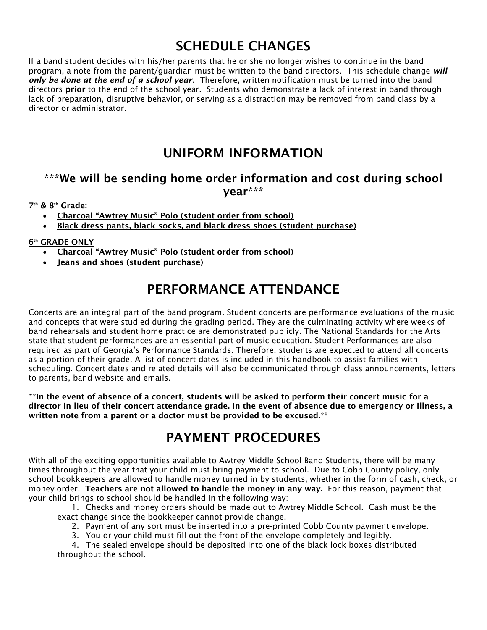# SCHEDULE CHANGES

If a band student decides with his/her parents that he or she no longer wishes to continue in the band program, a note from the parent/guardian must be written to the band directors. This schedule change *will only be done at the end of a school year*. Therefore, written notification must be turned into the band directors prior to the end of the school year. Students who demonstrate a lack of interest in band through lack of preparation, disruptive behavior, or serving as a distraction may be removed from band class by a director or administrator.

### UNIFORM INFORMATION

### \*\*\*We will be sending home order information and cost during school year\*\*\*

#### 7<sup>th</sup> & 8<sup>th</sup> Grade:

- Charcoal "Awtrey Music" Polo (student order from school)
- Black dress pants, black socks, and black dress shoes (student purchase)

#### **6th GRADE ONLY**

- Charcoal "Awtrey Music" Polo (student order from school)
- Jeans and shoes (student purchase)

## PERFORMANCE ATTENDANCE

Concerts are an integral part of the band program. Student concerts are performance evaluations of the music and concepts that were studied during the grading period. They are the culminating activity where weeks of band rehearsals and student home practice are demonstrated publicly. The National Standards for the Arts state that student performances are an essential part of music education. Student Performances are also required as part of Georgia's Performance Standards. Therefore, students are expected to attend all concerts as a portion of their grade. A list of concert dates is included in this handbook to assist families with scheduling. Concert dates and related details will also be communicated through class announcements, letters to parents, band website and emails.

\*\*In the event of absence of a concert, students will be asked to perform their concert music for a director in lieu of their concert attendance grade. In the event of absence due to emergency or illness, a written note from a parent or a doctor must be provided to be excused.\*\*

## PAYMENT PROCEDURES

With all of the exciting opportunities available to Awtrey Middle School Band Students, there will be many times throughout the year that your child must bring payment to school. Due to Cobb County policy, only school bookkeepers are allowed to handle money turned in by students, whether in the form of cash, check, or money order. Teachers are not allowed to handle the money in any way. For this reason, payment that your child brings to school should be handled in the following way:

1. Checks and money orders should be made out to Awtrey Middle School. Cash must be the exact change since the bookkeeper cannot provide change.

- 2. Payment of any sort must be inserted into a pre-printed Cobb County payment envelope.
- 3. You or your child must fill out the front of the envelope completely and legibly.

4. The sealed envelope should be deposited into one of the black lock boxes distributed throughout the school.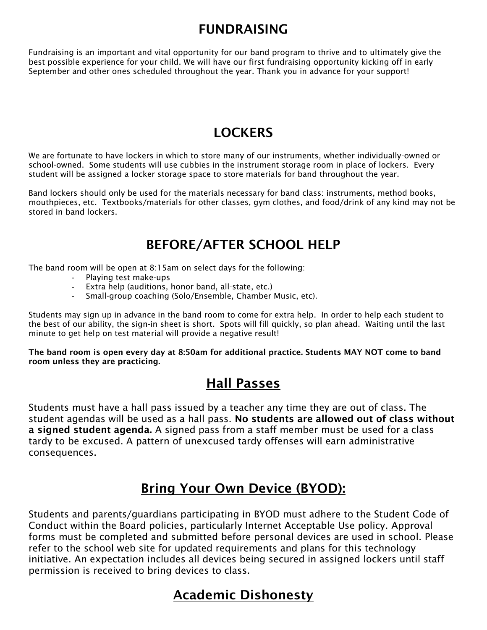## FUNDRAISING

Fundraising is an important and vital opportunity for our band program to thrive and to ultimately give the best possible experience for your child. We will have our first fundraising opportunity kicking off in early September and other ones scheduled throughout the year. Thank you in advance for your support!

## **LOCKERS**

We are fortunate to have lockers in which to store many of our instruments, whether individually-owned or school-owned. Some students will use cubbies in the instrument storage room in place of lockers. Every student will be assigned a locker storage space to store materials for band throughout the year.

Band lockers should only be used for the materials necessary for band class: instruments, method books, mouthpieces, etc. Textbooks/materials for other classes, gym clothes, and food/drink of any kind may not be stored in band lockers.

## BEFORE/AFTER SCHOOL HELP

The band room will be open at 8:15am on select days for the following:

- Playing test make-ups
- Extra help (auditions, honor band, all-state, etc.)
- Small-group coaching (Solo/Ensemble, Chamber Music, etc).

Students may sign up in advance in the band room to come for extra help. In order to help each student to the best of our ability, the sign-in sheet is short. Spots will fill quickly, so plan ahead. Waiting until the last minute to get help on test material will provide a negative result!

The band room is open every day at 8:50am for additional practice. Students MAY NOT come to band room unless they are practicing.

## Hall Passes

Students must have a hall pass issued by a teacher any time they are out of class. The student agendas will be used as a hall pass. No students are allowed out of class without a signed student agenda. A signed pass from a staff member must be used for a class tardy to be excused. A pattern of unexcused tardy offenses will earn administrative consequences.

## Bring Your Own Device (BYOD):

Students and parents/guardians participating in BYOD must adhere to the Student Code of Conduct within the Board policies, particularly Internet Acceptable Use policy. Approval forms must be completed and submitted before personal devices are used in school. Please refer to the school web site for updated requirements and plans for this technology initiative. An expectation includes all devices being secured in assigned lockers until staff permission is received to bring devices to class.

## Academic Dishonesty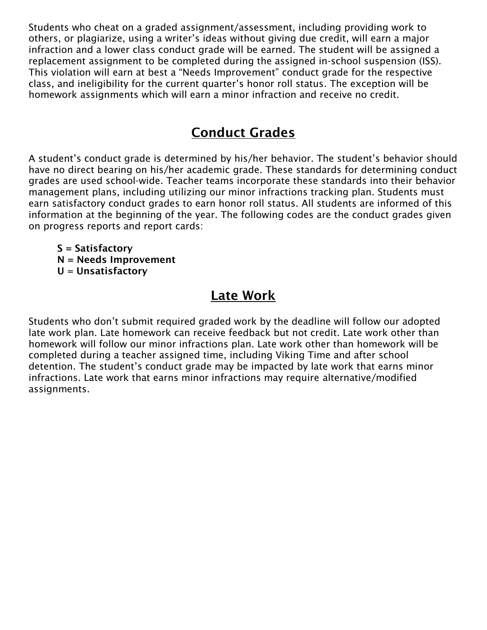Students who cheat on a graded assignment/assessment, including providing work to others, or plagiarize, using a writer's ideas without giving due credit, will earn a major infraction and a lower class conduct grade will be earned. The student will be assigned a replacement assignment to be completed during the assigned in-school suspension (ISS). This violation will earn at best a "Needs Improvement" conduct grade for the respective class, and ineligibility for the current quarter's honor roll status. The exception will be homework assignments which will earn a minor infraction and receive no credit.

## Conduct Grades

A student's conduct grade is determined by his/her behavior. The student's behavior should have no direct bearing on his/her academic grade. These standards for determining conduct grades are used school-wide. Teacher teams incorporate these standards into their behavior management plans, including utilizing our minor infractions tracking plan. Students must earn satisfactory conduct grades to earn honor roll status. All students are informed of this information at the beginning of the year. The following codes are the conduct grades given on progress reports and report cards:

S = Satisfactory N = Needs Improvement U = Unsatisfactory

## Late Work

Students who don't submit required graded work by the deadline will follow our adopted late work plan. Late homework can receive feedback but not credit. Late work other than homework will follow our minor infractions plan. Late work other than homework will be completed during a teacher assigned time, including Viking Time and after school detention. The student's conduct grade may be impacted by late work that earns minor infractions. Late work that earns minor infractions may require alternative/modified assignments.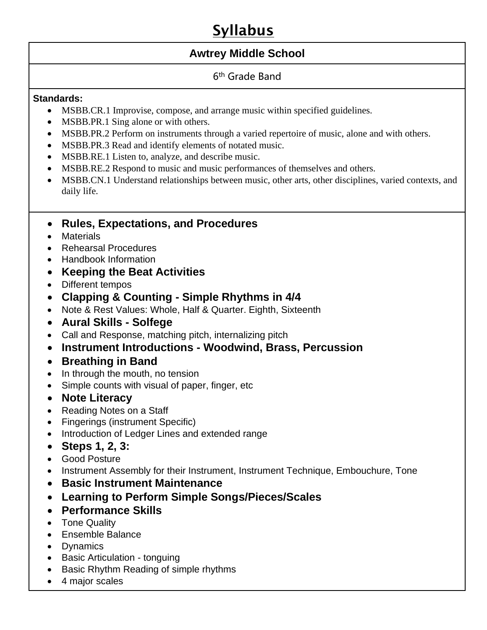# Syllabus

### **Awtrey Middle School**

### 6th Grade Band

### **Standards:**

- MSBB.CR.1 Improvise, compose, and arrange music within specified guidelines.
- MSBB.PR.1 Sing alone or with others.
- MSBB.PR.2 Perform on instruments through a varied repertoire of music, alone and with others.
- MSBB.PR.3 Read and identify elements of notated music.
- MSBB.RE.1 Listen to, analyze, and describe music.
- MSBB.RE.2 Respond to music and music performances of themselves and others.
- MSBB.CN.1 Understand relationships between music, other arts, other disciplines, varied contexts, and daily life.

### • **Rules, Expectations, and Procedures**

- Materials
- Rehearsal Procedures
- Handbook Information
- **Keeping the Beat Activities**
- Different tempos
- **Clapping & Counting - Simple Rhythms in 4/4**
- Note & Rest Values: Whole, Half & Quarter. Eighth, Sixteenth
- **Aural Skills - Solfege**
- Call and Response, matching pitch, internalizing pitch
- **Instrument Introductions - Woodwind, Brass, Percussion**
- **Breathing in Band**
- In through the mouth, no tension
- Simple counts with visual of paper, finger, etc
- **Note Literacy**
- Reading Notes on a Staff
- Fingerings (instrument Specific)
- Introduction of Ledger Lines and extended range
- **Steps 1, 2, 3:**
- Good Posture
- Instrument Assembly for their Instrument, Instrument Technique, Embouchure, Tone
- **Basic Instrument Maintenance**
- **Learning to Perform Simple Songs/Pieces/Scales**
- **Performance Skills**
- Tone Quality
- Ensemble Balance
- Dynamics
- Basic Articulation tonguing
- Basic Rhythm Reading of simple rhythms
- 4 major scales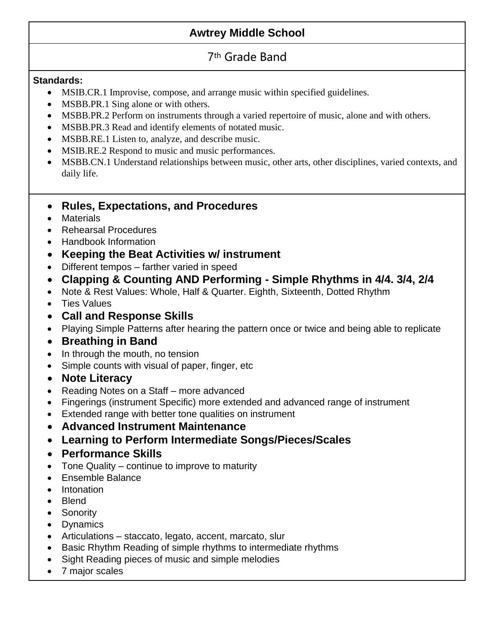### **Awtrey Middle School**

### 7th Grade Band

### **Standards:**

- MSIB.CR.1 Improvise, compose, and arrange music within specified guidelines.
- MSBB.PR.1 Sing alone or with others.
- MSBB.PR.2 Perform on instruments through a varied repertoire of music, alone and with others.
- MSBB.PR.3 Read and identify elements of notated music.
- MSBB.RE.1 Listen to, analyze, and describe music.
- MSIB.RE.2 Respond to music and music performances.
- MSBB.CN.1 Understand relationships between music, other arts, other disciplines, varied contexts, and daily life.
- **Rules, Expectations, and Procedures**
- Materials
- Rehearsal Procedures
- Handbook Information
- **Keeping the Beat Activities w/ instrument**
- Different tempos farther varied in speed
- **Clapping & Counting AND Performing - Simple Rhythms in 4/4. 3/4, 2/4**
- Note & Rest Values: Whole, Half & Quarter. Eighth, Sixteenth, Dotted Rhythm
- Ties Values
- **Call and Response Skills**
- Playing Simple Patterns after hearing the pattern once or twice and being able to replicate
- **Breathing in Band**
- In through the mouth, no tension
- Simple counts with visual of paper, finger, etc
- **Note Literacy**
- Reading Notes on a Staff more advanced
- Fingerings (instrument Specific) more extended and advanced range of instrument
- Extended range with better tone qualities on instrument
- **Advanced Instrument Maintenance**
- **Learning to Perform Intermediate Songs/Pieces/Scales**
- **Performance Skills**
- Tone Quality continue to improve to maturity
- Ensemble Balance
- Intonation
- Blend
- Sonority
- Dynamics
- Articulations staccato, legato, accent, marcato, slur
- Basic Rhythm Reading of simple rhythms to intermediate rhythms
- Sight Reading pieces of music and simple melodies
- 7 major scales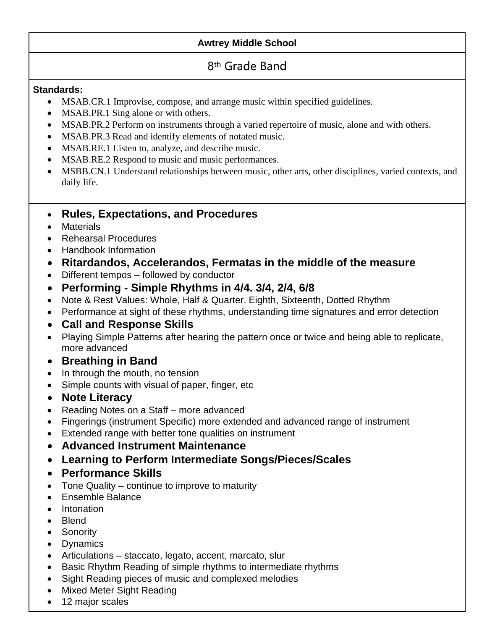### **Awtrey Middle School**

### 8th Grade Band

#### **Standards:**

- MSAB.CR.1 Improvise, compose, and arrange music within specified guidelines.
- MSAB.PR.1 Sing alone or with others.
- MSAB.PR.2 Perform on instruments through a varied repertoire of music, alone and with others.
- MSAB.PR.3 Read and identify elements of notated music.
- MSAB.RE.1 Listen to, analyze, and describe music.
- MSAB.RE.2 Respond to music and music performances.
- MSBB.CN.1 Understand relationships between music, other arts, other disciplines, varied contexts, and daily life.

### • **Rules, Expectations, and Procedures**

- Materials
- Rehearsal Procedures
- Handbook Information
- **Ritardandos, Accelerandos, Fermatas in the middle of the measure**
- Different tempos followed by conductor
- **Performing - Simple Rhythms in 4/4. 3/4, 2/4, 6/8**
- Note & Rest Values: Whole, Half & Quarter. Eighth, Sixteenth, Dotted Rhythm
- Performance at sight of these rhythms, understanding time signatures and error detection
- **Call and Response Skills**
- Playing Simple Patterns after hearing the pattern once or twice and being able to replicate, more advanced
- **Breathing in Band**
- In through the mouth, no tension
- Simple counts with visual of paper, finger, etc
- **Note Literacy**
- Reading Notes on a Staff more advanced
- Fingerings (instrument Specific) more extended and advanced range of instrument
- Extended range with better tone qualities on instrument
- **Advanced Instrument Maintenance**
- **Learning to Perform Intermediate Songs/Pieces/Scales**
- **Performance Skills**
- Tone Quality continue to improve to maturity
- Ensemble Balance
- Intonation
- Blend
- Sonority
- Dynamics
- Articulations staccato, legato, accent, marcato, slur
- Basic Rhythm Reading of simple rhythms to intermediate rhythms
- Sight Reading pieces of music and complexed melodies
- Mixed Meter Sight Reading
- 12 major scales